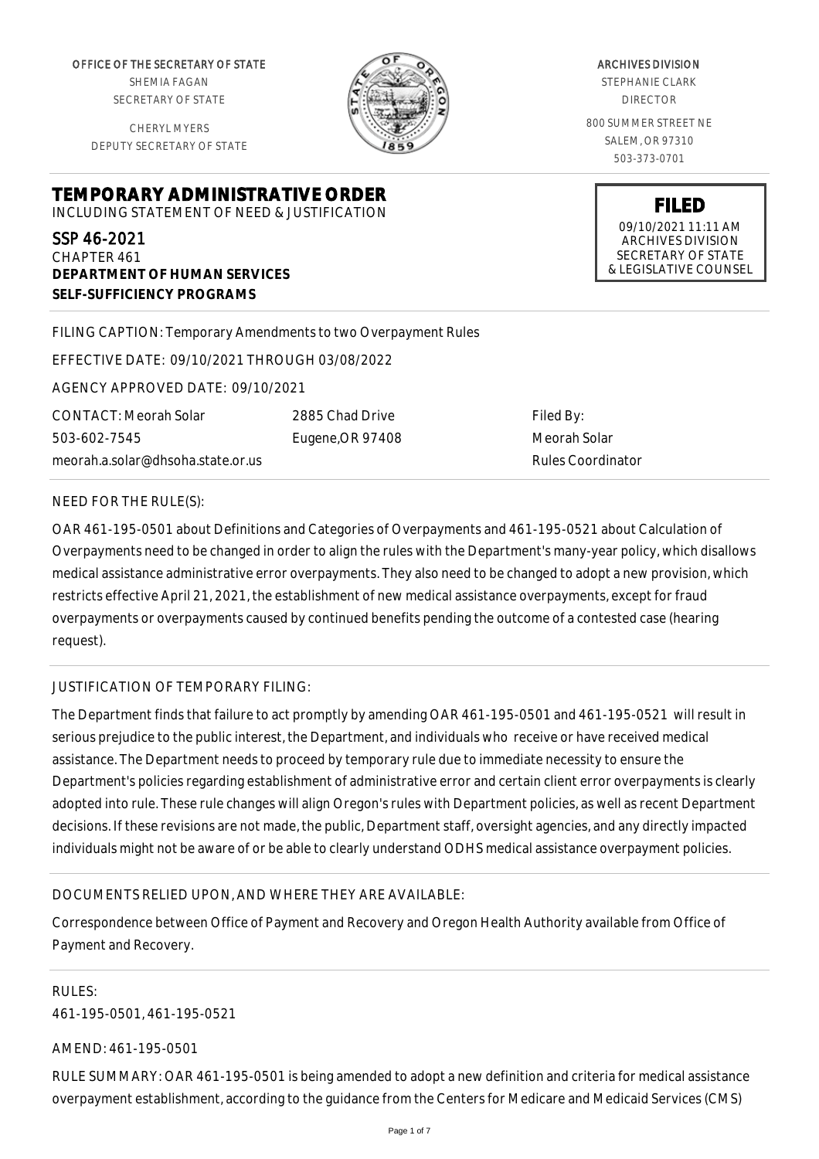OFFICE OF THE SECRETARY OF STATE SHEMIA FAGAN SECRETARY OF STATE

CHERYL MYERS DEPUTY SECRETARY OF STATE

**DEPARTMENT OF HUMAN SERVICES**

**SELF-SUFFICIENCY PROGRAMS**



ARCHIVES DIVISION

STEPHANIE CLARK DIRECTOR

800 SUMMER STREET NE SALEM, OR 97310 503-373-0701

> **FILED** 09/10/2021 11:11 AM ARCHIVES DIVISION SECRETARY OF STATE & LEGISLATIVE COUNSEL

FILING CAPTION: Temporary Amendments to two Overpayment Rules

EFFECTIVE DATE: 09/10/2021 THROUGH 03/08/2022

**TEMPORARY ADMINISTRATIVE ORDER** INCLUDING STATEMENT OF NEED & JUSTIFICATION

AGENCY APPROVED DATE: 09/10/2021

CONTACT: Meorah Solar 503-602-7545 meorah.a.solar@dhsoha.state.or.us 2885 Chad Drive Eugene,OR 97408

Filed By: Meorah Solar Rules Coordinator

### NEED FOR THE RULE(S):

SSP 46-2021 CHAPTER 461

OAR 461-195-0501 about Definitions and Categories of Overpayments and 461-195-0521 about Calculation of Overpayments need to be changed in order to align the rules with the Department's many-year policy, which disallows medical assistance administrative error overpayments. They also need to be changed to adopt a new provision, which restricts effective April 21, 2021, the establishment of new medical assistance overpayments, except for fraud overpayments or overpayments caused by continued benefits pending the outcome of a contested case (hearing request).

# JUSTIFICATION OF TEMPORARY FILING:

The Department finds that failure to act promptly by amending OAR 461-195-0501 and 461-195-0521 will result in serious prejudice to the public interest, the Department, and individuals who receive or have received medical assistance. The Department needs to proceed by temporary rule due to immediate necessity to ensure the Department's policies regarding establishment of administrative error and certain client error overpayments is clearly adopted into rule. These rule changes will align Oregon's rules with Department policies, as well as recent Department decisions. If these revisions are not made, the public, Department staff, oversight agencies, and any directly impacted individuals might not be aware of or be able to clearly understand ODHS medical assistance overpayment policies.

# DOCUMENTS RELIED UPON, AND WHERE THEY ARE AVAILABLE:

Correspondence between Office of Payment and Recovery and Oregon Health Authority available from Office of Payment and Recovery.

RULES: 461-195-0501, 461-195-0521

#### AMEND: 461-195-0501

RULE SUMMARY: OAR 461-195-0501 is being amended to adopt a new definition and criteria for medical assistance overpayment establishment, according to the guidance from the Centers for Medicare and Medicaid Services (CMS)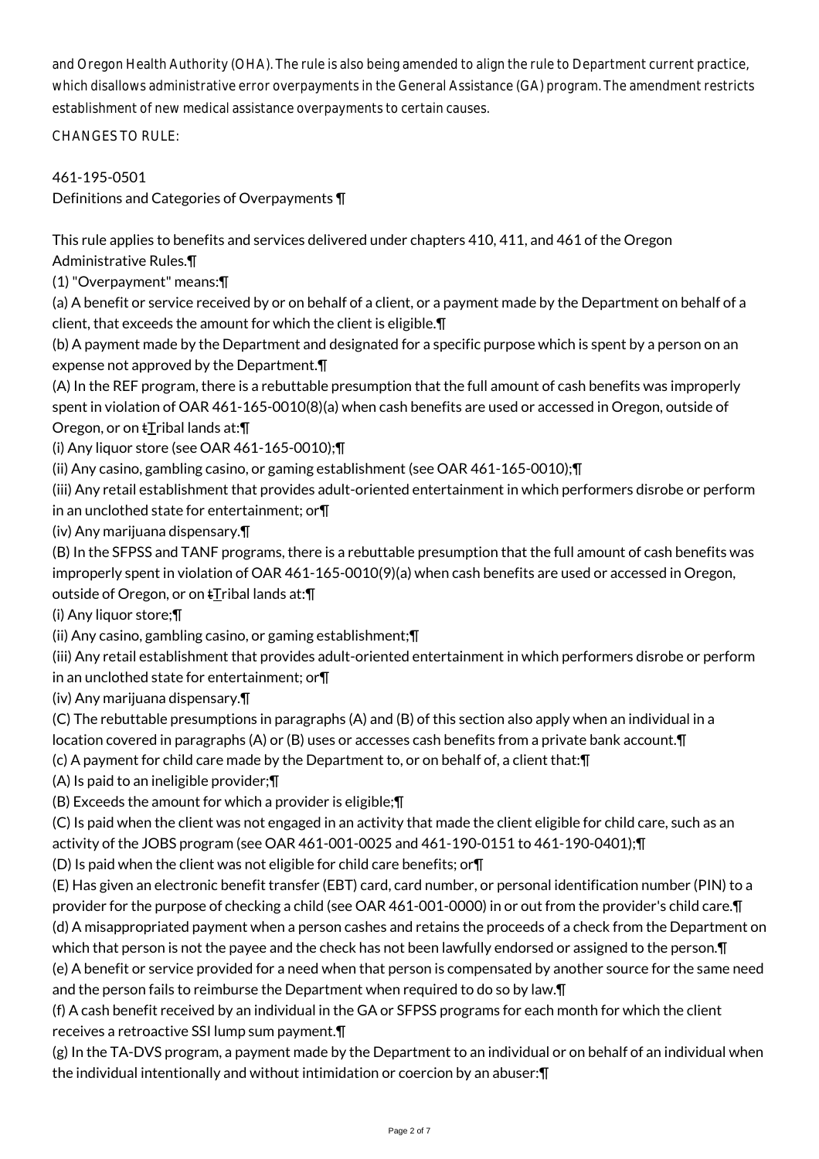and Oregon Health Authority (OHA). The rule is also being amended to align the rule to Department current practice, which disallows administrative error overpayments in the General Assistance (GA) program. The amendment restricts establishment of new medical assistance overpayments to certain causes.

CHANGES TO RULE:

461-195-0501

Definitions and Categories of Overpayments ¶

This rule applies to benefits and services delivered under chapters 410, 411, and 461 of the Oregon Administrative Rules.¶

(1) "Overpayment" means:¶

(a) A benefit or service received by or on behalf of a client, or a payment made by the Department on behalf of a client, that exceeds the amount for which the client is eligible.¶

(b) A payment made by the Department and designated for a specific purpose which is spent by a person on an expense not approved by the Department.¶

(A) In the REF program, there is a rebuttable presumption that the full amount of cash benefits was improperly spent in violation of OAR 461-165-0010(8)(a) when cash benefits are used or accessed in Oregon, outside of Oregon, or on  $t$ Tribal lands at: $\P$ 

(i) Any liquor store (see OAR 461-165-0010);¶

(ii) Any casino, gambling casino, or gaming establishment (see OAR 461-165-0010);¶

(iii) Any retail establishment that provides adult-oriented entertainment in which performers disrobe or perform in an unclothed state for entertainment; or¶

(iv) Any marijuana dispensary.¶

(B) In the SFPSS and TANF programs, there is a rebuttable presumption that the full amount of cash benefits was improperly spent in violation of OAR 461-165-0010(9)(a) when cash benefits are used or accessed in Oregon, outside of Oregon, or on  $\pm$ Tribal lands at: $\P$ 

(i) Any liquor store;¶

(ii) Any casino, gambling casino, or gaming establishment;¶

(iii) Any retail establishment that provides adult-oriented entertainment in which performers disrobe or perform in an unclothed state for entertainment; or¶

(iv) Any marijuana dispensary.¶

(C) The rebuttable presumptions in paragraphs (A) and (B) of this section also apply when an individual in a location covered in paragraphs (A) or (B) uses or accesses cash benefits from a private bank account.¶

(c) A payment for child care made by the Department to, or on behalf of, a client that:¶

(A) Is paid to an ineligible provider;¶

(B) Exceeds the amount for which a provider is eligible;¶

(C) Is paid when the client was not engaged in an activity that made the client eligible for child care, such as an activity of the JOBS program (see OAR 461-001-0025 and 461-190-0151 to 461-190-0401);¶

(D) Is paid when the client was not eligible for child care benefits; or¶

(E) Has given an electronic benefit transfer (EBT) card, card number, or personal identification number (PIN) to a provider for the purpose of checking a child (see OAR 461-001-0000) in or out from the provider's child care.¶ (d) A misappropriated payment when a person cashes and retains the proceeds of a check from the Department on which that person is not the payee and the check has not been lawfully endorsed or assigned to the person. In

(e) A benefit or service provided for a need when that person is compensated by another source for the same need and the person fails to reimburse the Department when required to do so by law.¶

(f) A cash benefit received by an individual in the GA or SFPSS programs for each month for which the client receives a retroactive SSI lump sum payment.¶

(g) In the TA-DVS program, a payment made by the Department to an individual or on behalf of an individual when the individual intentionally and without intimidation or coercion by an abuser:¶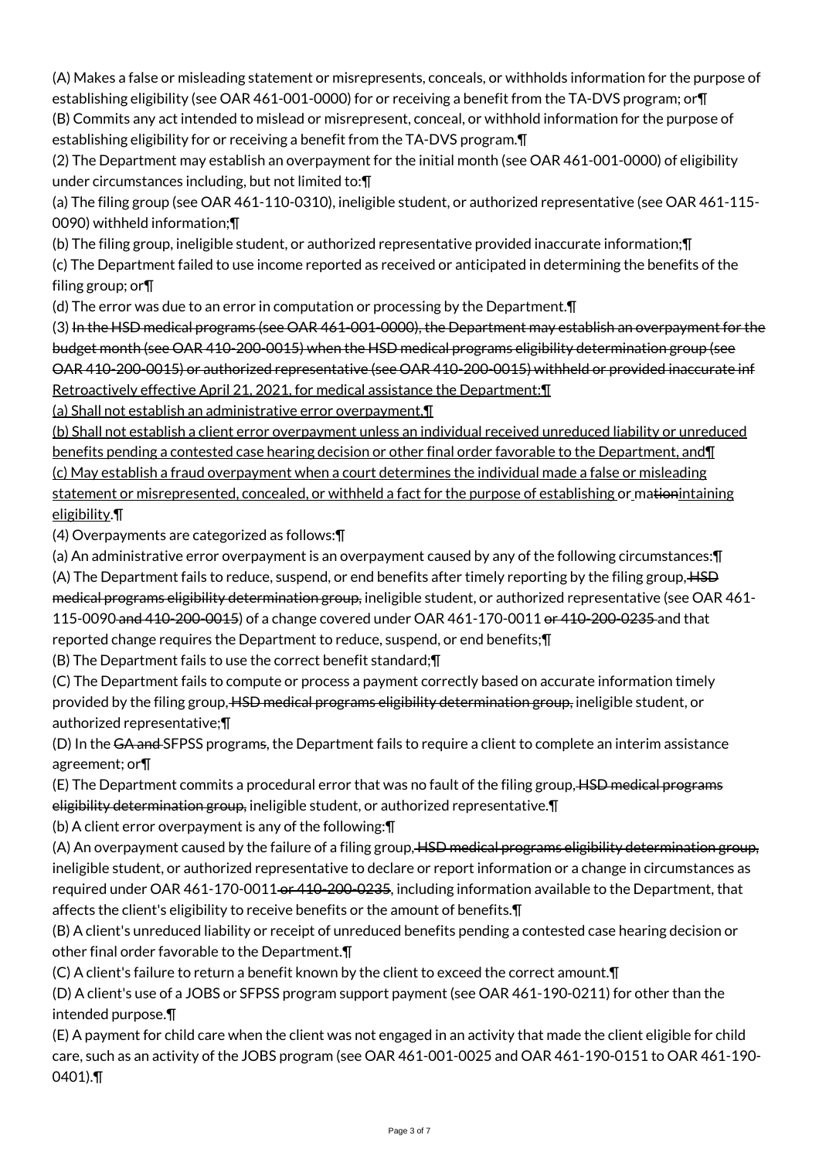(A) Makes a false or misleading statement or misrepresents, conceals, or withholds information for the purpose of establishing eligibility (see OAR 461-001-0000) for or receiving a benefit from the TA-DVS program; or¶ (B) Commits any act intended to mislead or misrepresent, conceal, or withhold information for the purpose of

establishing eligibility for or receiving a benefit from the TA-DVS program.¶

(2) The Department may establish an overpayment for the initial month (see OAR 461-001-0000) of eligibility under circumstances including, but not limited to:¶

(a) The filing group (see OAR 461-110-0310), ineligible student, or authorized representative (see OAR 461-115- 0090) withheld information;¶

(b) The filing group, ineligible student, or authorized representative provided inaccurate information;¶

(c) The Department failed to use income reported as received or anticipated in determining the benefits of the filing group; or¶

(d) The error was due to an error in computation or processing by the Department.¶

(3) In the HSD medical programs (see OAR 461-001-0000), the Department may establish an overpayment for the budget month (see OAR 410-200-0015) when the HSD medical programs eligibility determination group (see OAR 410-200-0015) or authorized representative (see OAR 410-200-0015) withheld or provided inaccurate inf Retroactively effective April 21, 2021, for medical assistance the Department:¶

(a) Shall not establish an administrative error overpayment,¶

(b) Shall not establish a client error overpayment unless an individual received unreduced liability or unreduced benefits pending a contested case hearing decision or other final order favorable to the Department, and¶ (c) May establish a fraud overpayment when a court determines the individual made a false or misleading statement or misrepresented, concealed, or withheld a fact for the purpose of establishing or mationintaining eligibility.¶

(4) Overpayments are categorized as follows:¶

(a) An administrative error overpayment is an overpayment caused by any of the following circumstances:¶ (A) The Department fails to reduce, suspend, or end benefits after timely reporting by the filing group, HSD medical programs eligibility determination group, ineligible student, or authorized representative (see OAR 461-115-0090 and 410-200-0015) of a change covered under OAR 461-170-0011 or 410-200-0235 and that reported change requires the Department to reduce, suspend, or end benefits;¶

(B) The Department fails to use the correct benefit standard;¶

(C) The Department fails to compute or process a payment correctly based on accurate information timely provided by the filing group, HSD medical programs eligibility determination group, ineligible student, or authorized representative;¶

(D) In the GA and SFPSS programs, the Department fails to require a client to complete an interim assistance agreement; or¶

(E) The Department commits a procedural error that was no fault of the filing group, HSD medical programs eligibility determination group, ineligible student, or authorized representative. T

(b) A client error overpayment is any of the following:¶

(A) An overpayment caused by the failure of a filing group, HSD medical programs eligibility determination group, ineligible student, or authorized representative to declare or report information or a change in circumstances as required under OAR 461-170-0011 or 410-200-0235, including information available to the Department, that affects the client's eligibility to receive benefits or the amount of benefits.¶

(B) A client's unreduced liability or receipt of unreduced benefits pending a contested case hearing decision or other final order favorable to the Department.¶

(C) A client's failure to return a benefit known by the client to exceed the correct amount.¶

(D) A client's use of a JOBS or SFPSS program support payment (see OAR 461-190-0211) for other than the intended purpose.¶

(E) A payment for child care when the client was not engaged in an activity that made the client eligible for child care, such as an activity of the JOBS program (see OAR 461-001-0025 and OAR 461-190-0151 to OAR 461-190- 0401).¶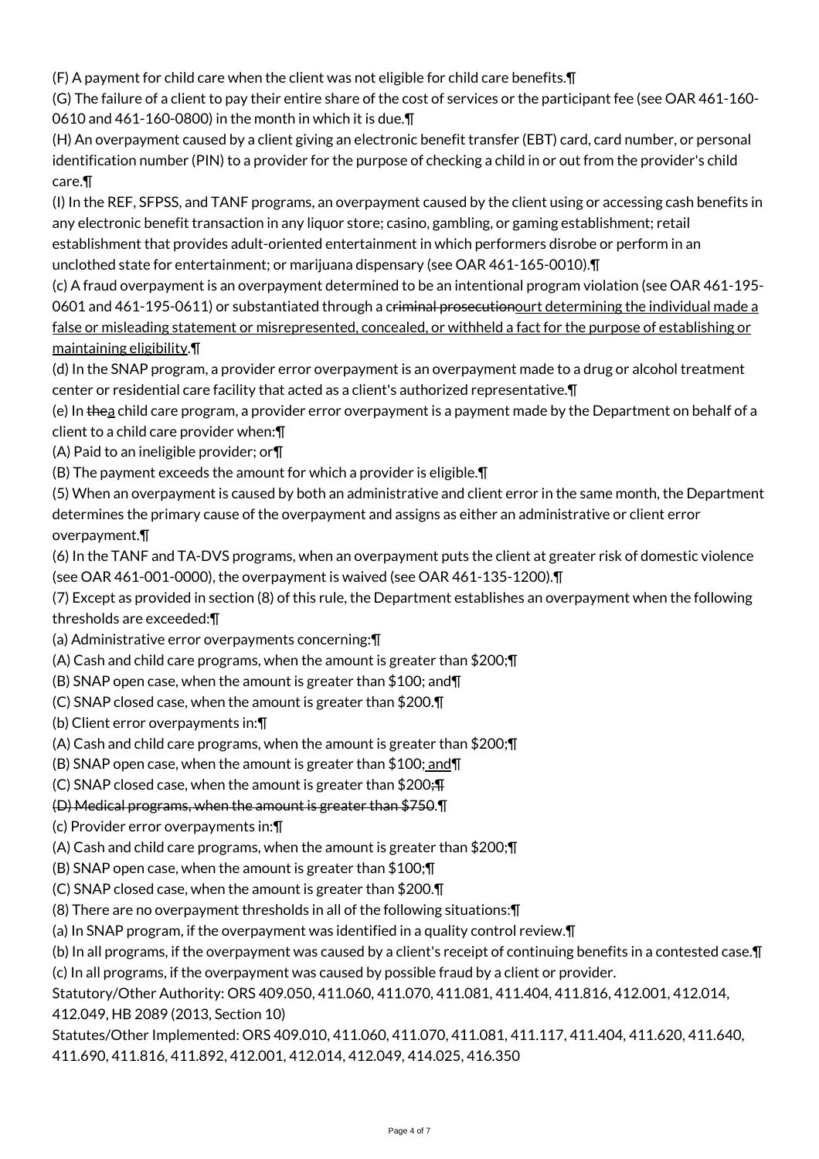(F) A payment for child care when the client was not eligible for child care benefits.¶

(G) The failure of a client to pay their entire share of the cost of services or the participant fee (see OAR 461-160- 0610 and 461-160-0800) in the month in which it is due.¶

(H) An overpayment caused by a client giving an electronic benefit transfer (EBT) card, card number, or personal identification number (PIN) to a provider for the purpose of checking a child in or out from the provider's child care.¶

(I) In the REF, SFPSS, and TANF programs, an overpayment caused by the client using or accessing cash benefits in any electronic benefit transaction in any liquor store; casino, gambling, or gaming establishment; retail establishment that provides adult-oriented entertainment in which performers disrobe or perform in an unclothed state for entertainment; or marijuana dispensary (see OAR 461-165-0010).¶

(c) A fraud overpayment is an overpayment determined to be an intentional program violation (see OAR 461-195- 0601 and 461-195-0611) or substantiated through a criminal prosecutionourt determining the individual made a false or misleading statement or misrepresented, concealed, or withheld a fact for the purpose of establishing or maintaining eligibility.¶

(d) In the SNAP program, a provider error overpayment is an overpayment made to a drug or alcohol treatment center or residential care facility that acted as a client's authorized representative.¶

(e) In the a child care program, a provider error overpayment is a payment made by the Department on behalf of a client to a child care provider when:¶

(A) Paid to an ineligible provider; or¶

(B) The payment exceeds the amount for which a provider is eligible.¶

(5) When an overpayment is caused by both an administrative and client error in the same month, the Department determines the primary cause of the overpayment and assigns as either an administrative or client error overpayment.¶

(6) In the TANF and TA-DVS programs, when an overpayment puts the client at greater risk of domestic violence (see OAR 461-001-0000), the overpayment is waived (see OAR 461-135-1200).¶

(7) Except as provided in section (8) of this rule, the Department establishes an overpayment when the following thresholds are exceeded:¶

(a) Administrative error overpayments concerning:¶

(A) Cash and child care programs, when the amount is greater than \$200;¶

(B) SNAP open case, when the amount is greater than \$100; and¶

(C) SNAP closed case, when the amount is greater than \$200.¶

(b) Client error overpayments in:¶

(A) Cash and child care programs, when the amount is greater than \$200;¶

(B) SNAP open case, when the amount is greater than  $$100;$  and  $\P$ 

(C) SNAP closed case, when the amount is greater than  $$200;$  F

(D) Medical programs, when the amount is greater than \$750.¶

(c) Provider error overpayments in:¶

(A) Cash and child care programs, when the amount is greater than \$200;¶

(B) SNAP open case, when the amount is greater than \$100;¶

(C) SNAP closed case, when the amount is greater than \$200.¶

(8) There are no overpayment thresholds in all of the following situations:¶

(a) In SNAP program, if the overpayment was identified in a quality control review.¶

(b) In all programs, if the overpayment was caused by a client's receipt of continuing benefits in a contested case.¶ (c) In all programs, if the overpayment was caused by possible fraud by a client or provider.

Statutory/Other Authority: ORS 409.050, 411.060, 411.070, 411.081, 411.404, 411.816, 412.001, 412.014, 412.049, HB 2089 (2013, Section 10)

Statutes/Other Implemented: ORS 409.010, 411.060, 411.070, 411.081, 411.117, 411.404, 411.620, 411.640, 411.690, 411.816, 411.892, 412.001, 412.014, 412.049, 414.025, 416.350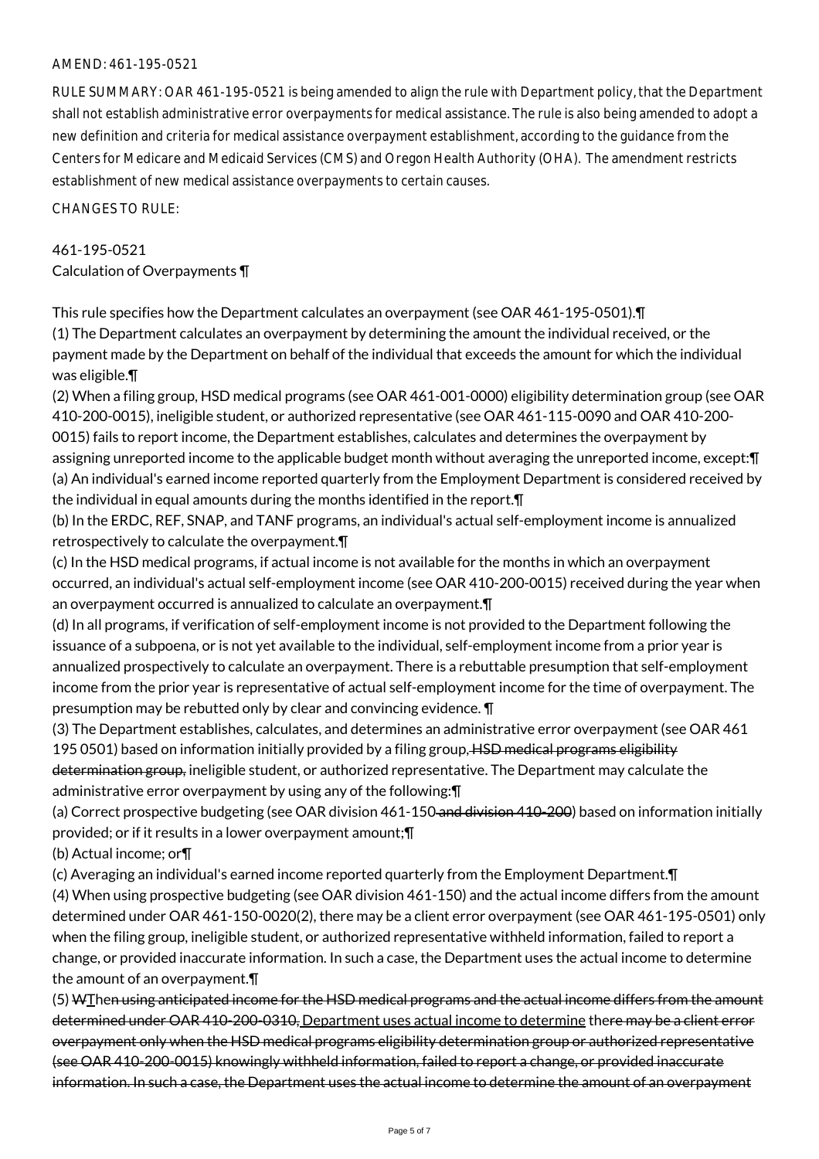### AMEND: 461-195-0521

RULE SUMMARY: OAR 461-195-0521 is being amended to align the rule with Department policy, that the Department shall not establish administrative error overpayments for medical assistance. The rule is also being amended to adopt a new definition and criteria for medical assistance overpayment establishment, according to the guidance from the Centers for Medicare and Medicaid Services (CMS) and Oregon Health Authority (OHA). The amendment restricts establishment of new medical assistance overpayments to certain causes.

CHANGES TO RULE:

461-195-0521 Calculation of Overpayments ¶

This rule specifies how the Department calculates an overpayment (see OAR 461-195-0501).¶ (1) The Department calculates an overpayment by determining the amount the individual received, or the payment made by the Department on behalf of the individual that exceeds the amount for which the individual was eligible.¶

(2) When a filing group, HSD medical programs (see OAR 461-001-0000) eligibility determination group (see OAR 410-200-0015), ineligible student, or authorized representative (see OAR 461-115-0090 and OAR 410-200- 0015) fails to report income, the Department establishes, calculates and determines the overpayment by assigning unreported income to the applicable budget month without averaging the unreported income, except:¶ (a) An individual's earned income reported quarterly from the Employment Department is considered received by the individual in equal amounts during the months identified in the report.¶

(b) In the ERDC, REF, SNAP, and TANF programs, an individual's actual self-employment income is annualized retrospectively to calculate the overpayment.¶

(c) In the HSD medical programs, if actual income is not available for the months in which an overpayment occurred, an individual's actual self-employment income (see OAR 410-200-0015) received during the year when an overpayment occurred is annualized to calculate an overpayment.¶

(d) In all programs, if verification of self-employment income is not provided to the Department following the issuance of a subpoena, or is not yet available to the individual, self-employment income from a prior year is annualized prospectively to calculate an overpayment. There is a rebuttable presumption that self-employment income from the prior year is representative of actual self-employment income for the time of overpayment. The presumption may be rebutted only by clear and convincing evidence. ¶

(3) The Department establishes, calculates, and determines an administrative error overpayment (see OAR 461 195 0501) based on information initially provided by a filing group, HSD medical programs eligibility determination group, ineligible student, or authorized representative. The Department may calculate the administrative error overpayment by using any of the following:¶

(a) Correct prospective budgeting (see OAR division 461-150 and division 410-200) based on information initially provided; or if it results in a lower overpayment amount;¶

(b) Actual income; or¶

(c) Averaging an individual's earned income reported quarterly from the Employment Department.¶

(4) When using prospective budgeting (see OAR division 461-150) and the actual income differs from the amount determined under OAR 461-150-0020(2), there may be a client error overpayment (see OAR 461-195-0501) only when the filing group, ineligible student, or authorized representative withheld information, failed to report a change, or provided inaccurate information. In such a case, the Department uses the actual income to determine the amount of an overpayment.¶

(5) WThen using anticipated income for the HSD medical programs and the actual income differs from the amount determined under OAR 410-200-0310, Department uses actual income to determine there may be a client error overpayment only when the HSD medical programs eligibility determination group or authorized representative (see OAR 410-200-0015) knowingly withheld information, failed to report a change, or provided inaccurate information. In such a case, the Department uses the actual income to determine the amount of an overpayment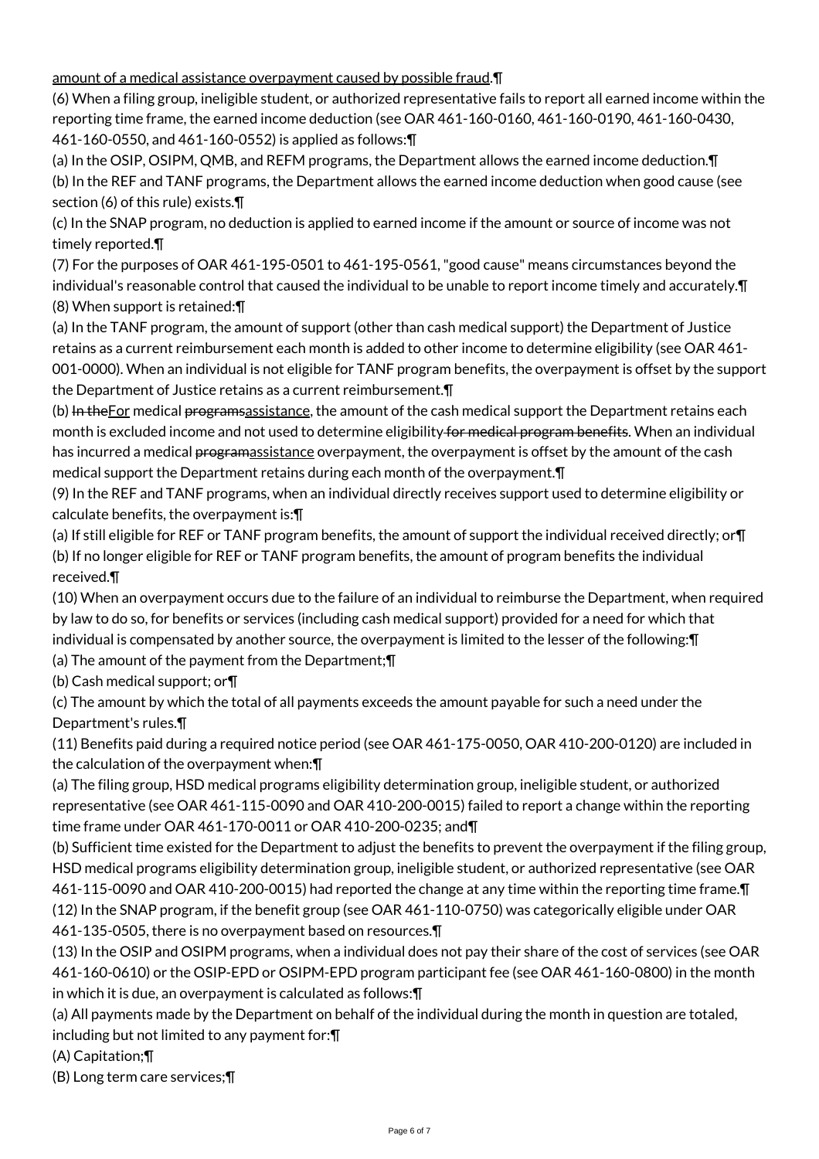amount of a medical assistance overpayment caused by possible fraud.¶

(6) When a filing group, ineligible student, or authorized representative fails to report all earned income within the reporting time frame, the earned income deduction (see OAR 461-160-0160, 461-160-0190, 461-160-0430, 461-160-0550, and 461-160-0552) is applied as follows:¶

(a) In the OSIP, OSIPM, QMB, and REFM programs, the Department allows the earned income deduction.¶ (b) In the REF and TANF programs, the Department allows the earned income deduction when good cause (see section (6) of this rule) exists.¶

(c) In the SNAP program, no deduction is applied to earned income if the amount or source of income was not timely reported.¶

(7) For the purposes of OAR 461-195-0501 to 461-195-0561, "good cause" means circumstances beyond the individual's reasonable control that caused the individual to be unable to report income timely and accurately.¶ (8) When support is retained:¶

(a) In the TANF program, the amount of support (other than cash medical support) the Department of Justice retains as a current reimbursement each month is added to other income to determine eligibility (see OAR 461- 001-0000). When an individual is not eligible for TANF program benefits, the overpayment is offset by the support the Department of Justice retains as a current reimbursement.¶

(b) In the For medical programs assistance, the amount of the cash medical support the Department retains each month is excluded income and not used to determine eligibility for medical program benefits. When an individual has incurred a medical programassistance overpayment, the overpayment is offset by the amount of the cash medical support the Department retains during each month of the overpayment.¶

(9) In the REF and TANF programs, when an individual directly receives support used to determine eligibility or calculate benefits, the overpayment is:¶

(a) If still eligible for REF or TANF program benefits, the amount of support the individual received directly; or¶ (b) If no longer eligible for REF or TANF program benefits, the amount of program benefits the individual received.¶

(10) When an overpayment occurs due to the failure of an individual to reimburse the Department, when required by law to do so, for benefits or services (including cash medical support) provided for a need for which that individual is compensated by another source, the overpayment is limited to the lesser of the following:¶ (a) The amount of the payment from the Department;¶

(b) Cash medical support; or¶

(c) The amount by which the total of all payments exceeds the amount payable for such a need under the Department's rules.¶

(11) Benefits paid during a required notice period (see OAR 461-175-0050, OAR 410-200-0120) are included in the calculation of the overpayment when:¶

(a) The filing group, HSD medical programs eligibility determination group, ineligible student, or authorized representative (see OAR 461-115-0090 and OAR 410-200-0015) failed to report a change within the reporting time frame under OAR 461-170-0011 or OAR 410-200-0235; and¶

(b) Sufficient time existed for the Department to adjust the benefits to prevent the overpayment if the filing group, HSD medical programs eligibility determination group, ineligible student, or authorized representative (see OAR 461-115-0090 and OAR 410-200-0015) had reported the change at any time within the reporting time frame.¶ (12) In the SNAP program, if the benefit group (see OAR 461-110-0750) was categorically eligible under OAR 461-135-0505, there is no overpayment based on resources.¶

(13) In the OSIP and OSIPM programs, when a individual does not pay their share of the cost of services (see OAR 461-160-0610) or the OSIP-EPD or OSIPM-EPD program participant fee (see OAR 461-160-0800) in the month in which it is due, an overpayment is calculated as follows:¶

(a) All payments made by the Department on behalf of the individual during the month in question are totaled, including but not limited to any payment for:¶

(A) Capitation;¶

(B) Long term care services;¶